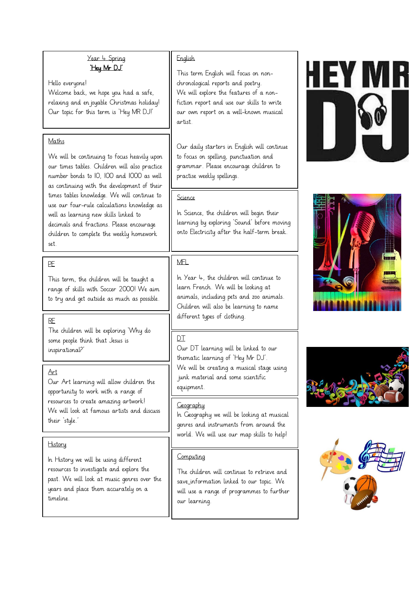#### Year 4 Spring 'Hey Mr DJ'

Hello everyone! Welcome back, we hope you had a safe, relaxing and en joyable Christmas holiday! Our topic for this term is 'Hey MR DJ!'

#### Maths

We will be continuing to focus heavily upon our times tables. Children will also practice number bonds to 10, 100 and 1000 as well as continuing with the development of their times tables knowledge. We will continue to use our four-rule calculations knowledge as well as learning new skills linked to decimals and fractions. Please encourage children to complete the weekly homework set.

## PE

This term, the children will be taught a range of skills with Soccer 2000! We aim to try and get outside as much as possible.

The children will be exploring 'Why do some people think that Jesus is inspirational?'

#### Art

Our Art learning will allow children the opportunity to work with a range of resources to create amazing artwork! We will look at famous artists and discuss their 'style.'

#### **History**

In History we will be using different resources to investigate and explore the past. We will look at music genres over the years and place them accurately on a timeline.

#### English

This term English will focus on nonchronological reports and poetry. We will explore the features of a nonfiction report and use our skills to write our own report on a well-known musical artist.

Our daily starters in English will continue to focus on spelling, punctuation and grammar. Please encourage children to practise weekly spellings.

## Science

In Science, the children will begin their learning by exploring 'Sound' before moving onto Electricity after the half-term break.

# MFL

In Year 4, the children will continue to learn French. We will be looking at animals, including pets and zoo animals. Children will also be learning to name RE RECOMMENDED RESERVED BY A LIFTUP OF CLOTHING.

# DT

Our DT learning will be linked to our thematic learning of 'Hey Mr DJ'. We will be creating a musical stage using junk material and some scientific equipment.

#### **Geography**

In Geography we will be looking at musical genres and instruments from around the world. We will use our map skills to help!

# Computing

The children will continue to retrieve and save information linked to our topic. We will use a range of programmes to further our learning.